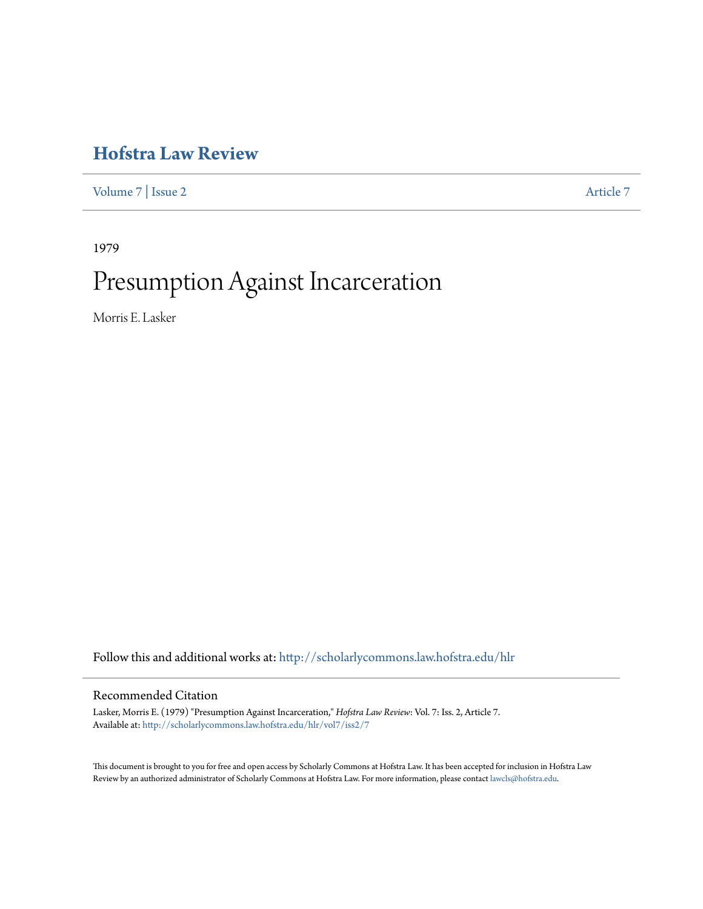## **[Hofstra Law Review](http://scholarlycommons.law.hofstra.edu/hlr?utm_source=scholarlycommons.law.hofstra.edu%2Fhlr%2Fvol7%2Fiss2%2F7&utm_medium=PDF&utm_campaign=PDFCoverPages)**

[Volume 7](http://scholarlycommons.law.hofstra.edu/hlr/vol7?utm_source=scholarlycommons.law.hofstra.edu%2Fhlr%2Fvol7%2Fiss2%2F7&utm_medium=PDF&utm_campaign=PDFCoverPages) | [Issue 2](http://scholarlycommons.law.hofstra.edu/hlr/vol7/iss2?utm_source=scholarlycommons.law.hofstra.edu%2Fhlr%2Fvol7%2Fiss2%2F7&utm_medium=PDF&utm_campaign=PDFCoverPages) [Article 7](http://scholarlycommons.law.hofstra.edu/hlr/vol7/iss2/7?utm_source=scholarlycommons.law.hofstra.edu%2Fhlr%2Fvol7%2Fiss2%2F7&utm_medium=PDF&utm_campaign=PDFCoverPages)

1979

# Presumption Against Incarceration

Morris E. Lasker

Follow this and additional works at: [http://scholarlycommons.law.hofstra.edu/hlr](http://scholarlycommons.law.hofstra.edu/hlr?utm_source=scholarlycommons.law.hofstra.edu%2Fhlr%2Fvol7%2Fiss2%2F7&utm_medium=PDF&utm_campaign=PDFCoverPages)

#### Recommended Citation

Lasker, Morris E. (1979) "Presumption Against Incarceration," *Hofstra Law Review*: Vol. 7: Iss. 2, Article 7. Available at: [http://scholarlycommons.law.hofstra.edu/hlr/vol7/iss2/7](http://scholarlycommons.law.hofstra.edu/hlr/vol7/iss2/7?utm_source=scholarlycommons.law.hofstra.edu%2Fhlr%2Fvol7%2Fiss2%2F7&utm_medium=PDF&utm_campaign=PDFCoverPages)

This document is brought to you for free and open access by Scholarly Commons at Hofstra Law. It has been accepted for inclusion in Hofstra Law Review by an authorized administrator of Scholarly Commons at Hofstra Law. For more information, please contact [lawcls@hofstra.edu](mailto:lawcls@hofstra.edu).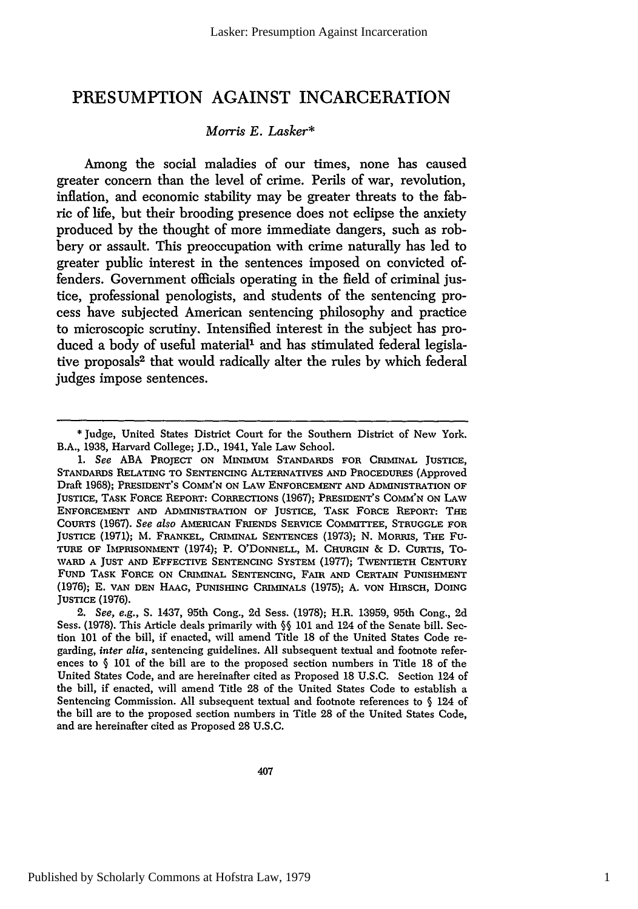### **PRESUMPTION AGAINST INCARCERATION**

#### *Morris E. Lasker\**

Among the social maladies of our times, none has caused greater concern than the level of crime. Perils of war, revolution, inflation, and economic stability may be greater threats to the fabric of life, but their brooding presence does not eclipse the anxiety produced by the thought of more immediate dangers, such as robbery or assault. This preoccupation with crime naturally has led to greater public interest in the sentences imposed on convicted offenders. Government officials operating in the field of criminal justice, professional penologists, and students of the sentencing process have subjected American sentencing philosophy and practice to microscopic scrutiny. Intensified interest in the subject has produced a body of useful material' and has stimulated federal legislative proposals<sup>2</sup> that would radically alter the rules by which federal judges impose sentences.

<sup>\*</sup> Judge, United States District Court for the Southern District of New York. B.A., 1938, Harvard College; J.D., 1941, Yale Law School.

*<sup>1.</sup> See* ABA PROJECT **ON MINIMUM STANDARDS FOR CRIMINAL JUSTICE, STANDARDS RELATING TO** SENTENCING **ALTERNATIVES AND PROCEDURES** (Approved Draft **1968); PRESIDENT'S COMM'N ON LAW ENFORCEMENT AND ADMINISTRATION OF** JUSTICE, TASK **FORCE** REPORT: **CORRECTIONS (1967); PRESIDENT'S COMM'N ON LAW** ENFORCEMENT **AND ADMINISTRATION OF JUSTICE, TASK FORCE** REPORT: THE **COURTS (1967).** *See also* **AMERICAN FRIENDS SERVICE** COMMITTEE, **STRUGGLE FOR JUSTICE** (1971); M. FRANKEL, **CRIMINAL SENTENCES** (1973); **N.** MORRIS, THE **Fu-TURE OF IMPRISONMENT** (1974); P. **O'DONNELL,** M. **CHURGIN** & **D. CURTIS,** TO-**WARD A JUST AND** EFFECTIVE **SENTENCING** SYSTEM (1977); **TWENTIETH CENTURY FUND TASK FORCE ON CRIMINAL SENTENCING, FAIR AND CERTAIN PUNISHMENT (1976); E. VAN DEN HAAG, PUNISHING** CRIMINALS **(1975); A. VON HIRSCH, DOING** JUSTICE (1976).

<sup>2.</sup> *See, e.g.,* **S.** 1437, 95th Cong., 2d Sess. (1978); H.R. 13959, 95th Cong., 2d Sess. (1978). This Article deals primarily with **§§** 101 and 124 of the Senate bill. Section **101** of the bill, if enacted, will amend Title 18 of the United States Code regarding, *inter alia,* sentencing guidelines. All subsequent textual and footnote references to  $\S$  101 of the bill are to the proposed section numbers in Title 18 of the United States Code, and are hereinafter cited as Proposed 18 U.S.C. Section 124 of the bill, if enacted, will amend Title 28 of the United States Code to establish a Sentencing Commission. All subsequent textual and footnote references to § 124 of the bill are to the proposed section numbers in Title 28 of the United States Code, and are hereinafter cited as Proposed 28 U.S.C.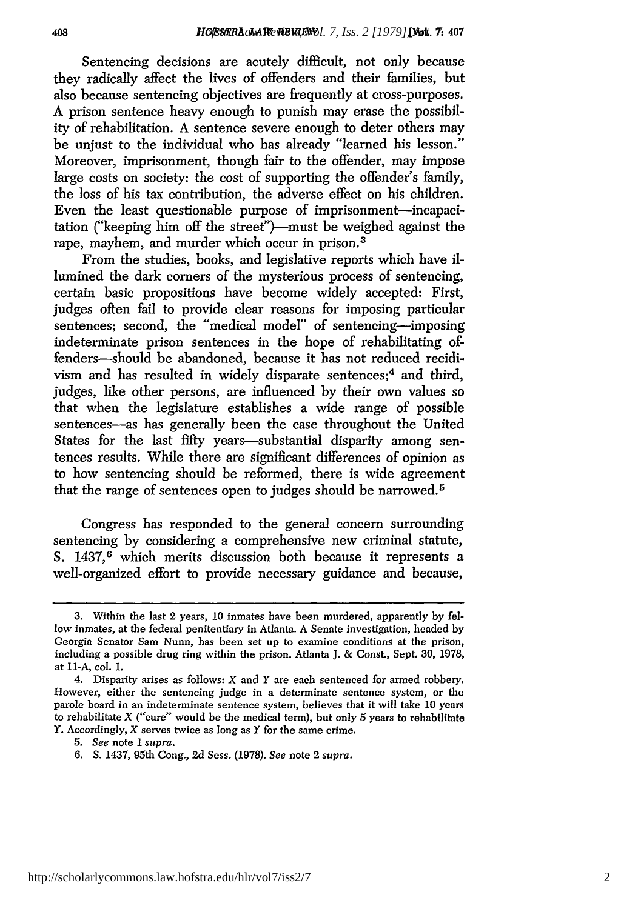Sentencing decisions are acutely difficult, not only because they radically affect the lives of offenders and their families, but also because sentencing objectives are frequently at cross-purposes. A prison sentence heavy enough to punish may erase the possibility of rehabilitation. A sentence severe enough to deter others may be unjust to the individual who has already "learned his lesson." Moreover, imprisonment, though fair to the offender, may impose large costs on society: the cost of supporting the offender's family, the loss of his tax contribution, the adverse effect on his children. Even the least questionable purpose of imprisonment-incapacitation ("keeping him off the street")-must be weighed against the rape, mayhem, and murder which occur in prison.<sup>3</sup>

From the studies, books, and legislative reports which have illumined the dark corners of the mysterious process of sentencing, certain basic propositions have become widely accepted: First, judges often fail to provide clear reasons for imposing particular sentences; second, the "medical model" of sentencing-imposing indeterminate prison sentences in the hope of rehabilitating offenders-should be abandoned, because it has not reduced recidivism and has resulted in widely disparate sentences;4 and third, judges, like other persons, are influenced by their own values so that when the legislature establishes a wide range of possible sentences-as has generally been the case throughout the United States for the last fifty years-substantial disparity among sentences results. While there are significant differences of opinion as to how sentencing should be reformed, there is wide agreement that the range of sentences open to judges should be narrowed.<sup>5</sup>

Congress has responded to the general concern surrounding sentencing by considering a comprehensive new criminal statute, **S.** 1437, 6 which merits discussion both because it represents a well-organized effort to provide necessary guidance and because,

<sup>3.</sup> Within the last 2 years, 10 inmates have been murdered, apparently by fellow inmates, at the federal penitentiary in Atlanta. A Senate investigation, headed by Georgia Senator Sam Nunn, has been set up to examine conditions at the prison, including a possible drug ring within the prison. Atlanta J. & Const., Sept. 30, 1978, at **11-A,** col. 1.

<sup>4.</sup> Disparity arises as follows:  $X$  and  $Y$  are each sentenced for armed robbery. However, either the sentencing judge in a determinate sentence system, or the parole board in an indeterminate sentence system, believes that it will take 10 years to rehabilitate  $X$  ("cure" would be the medical term), but only 5 years to rehabilitate Y. Accordingly, *X* serves twice as long as *Y* for the same crime.

*<sup>5.</sup> See* note 1 *supra.*

<sup>6.</sup> **S.** 1437, 95th Cong., 2d Sess. (1978). *See* note 2 *supra.*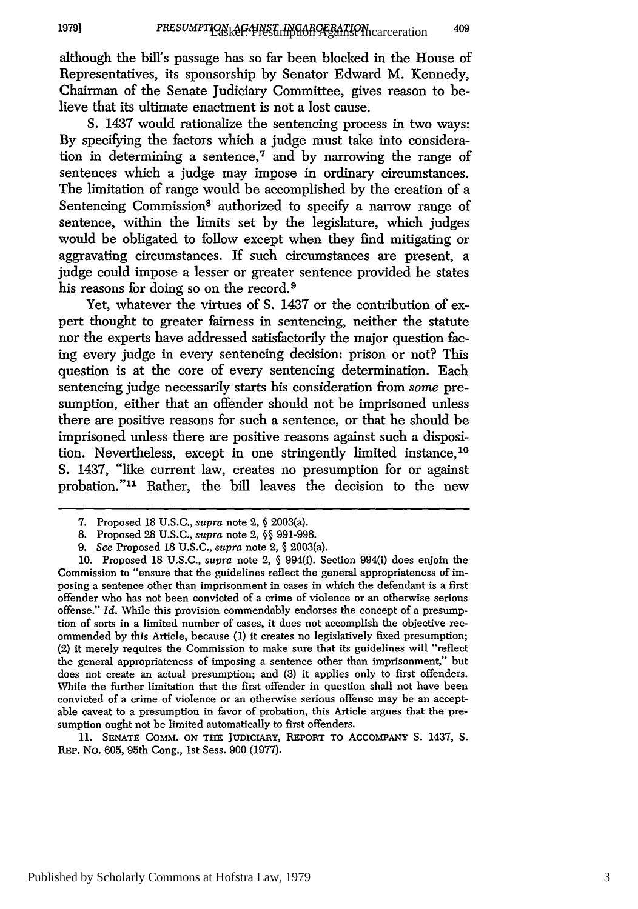although the bill's passage has so far been blocked in the House of Representatives, its sponsorship by Senator Edward M. Kennedy, Chairman of the Senate Judiciary Committee, gives reason to believe that its ultimate enactment is not a lost cause.

**S.** 1437 would rationalize the sentencing process in two ways: By specifying the factors which a judge must take into consideration in determining a sentence, $\tau$  and by narrowing the range of sentences which a judge may impose in ordinary circumstances. The limitation of range would be accomplished by the creation of a Sentencing Commission<sup>8</sup> authorized to specify a narrow range of sentence, within the limits set by the legislature, which judges would be obligated to follow except when they find mitigating or aggravating circumstances. If such circumstances are present, a judge could impose a lesser or greater sentence provided he states his reasons for doing so on the record.<sup>9</sup>

Yet, whatever the virtues of **S.** 1437 or the contribution of expert thought to greater fairness in sentencing, neither the statute nor the experts have addressed satisfactorily the major question facing every judge in every sentencing decision: prison or not? This question is at the core of every sentencing determination. Each sentencing judge necessarily starts his consideration from some presumption, either that an offender should not be imprisoned unless there are positive reasons for such a sentence, or that he should be imprisoned unless there are positive reasons against such a disposition. Nevertheless, except in one stringently limited instance, <sup>10</sup> **S.** 1437, "like current law, creates no presumption for or against probation."<sup>11</sup> Rather, the bill leaves the decision to the new

**11.** SENATE **COMM. ON** THE JUDICIARY, REPORT TO ACCOMPANY S. 1437, S. REP. No. 605, 95th Cong., Ist Sess. 900 (1977).

<sup>7.</sup> Proposed 18 U.S.C., *supra* note 2, **§** 2003(a).

<sup>8.</sup> Proposed 28 U.S.C., *supra* note 2, **§§** 991-998.

*<sup>9.</sup> See* Proposed 18 U.S.C., *supra* note 2, **§** 2003(a).

<sup>10.</sup> Proposed 18 U.S.C., *supra* note 2, **§** 994(i). Section 994(i) does enjoin the Commission to "ensure that the guidelines reflect the general appropriateness of imposing a sentence other than imprisonment in cases in which the defendant is a first offender who has not been convicted of a crime of violence or an otherwise serious offense." *Id.* While this provision commendably endorses the concept of a presumption of sorts in a limited number of cases, it does not accomplish the objective recommended by this Article, because (1) it creates no legislatively fixed presumption; (2) it merely requires the Commission to make sure that its guidelines will "reflect the general appropriateness of imposing a sentence other than imprisonment," but does not create an actual presumption; and (3) it applies only to first offenders. While the further limitation that the first offender in question shall not have been convicted of a crime of violence or an otherwise serious offense may be an acceptable caveat to a presumption in favor of probation, this Article argues that the presumption ought not be limited automatically to first offenders.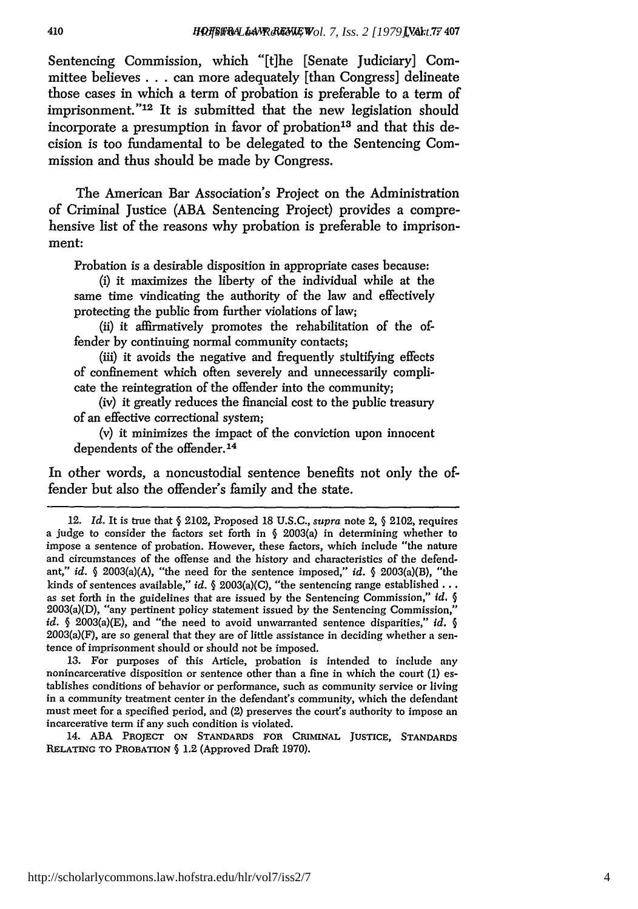Sentencing Commission, which "[tlhe [Senate Judiciary] Committee believes **. . .** can more adequately [than Congress] delineate those cases in which a term of probation is preferable to a term of imprisonment."<sup>12</sup> It is submitted that the new legislation should incorporate a presumption in favor of probation<sup>13</sup> and that this decision is too fundamental to be delegated to the Sentencing Commission and thus should be made **by** Congress.

The American Bar Association's Project on the Administration of Criminal Justice **(ABA** Sentencing Project) provides a comprehensive list of the reasons why probation is preferable to imprisonment:

Probation is a desirable disposition in appropriate cases because:

(i) it maximizes the liberty of the individual while at the same time vindicating the authority of the law and effectively protecting the public from further violations of law;

(ii) it affirmatively promotes the rehabilitation of the offender **by** continuing normal community contacts;

(iii) it avoids the negative and frequently stultifying effects of confinement which often severely and unnecessarily complicate the reintegration of the offender into the community;

(iv) it greatly reduces the financial cost to the public treasury of an effective correctional system;

**(v)** it minimizes the impact of the conviction upon innocent dependents of the offender.<sup>14</sup>

In other words, a noncustodial sentence benefits not only the offender but also the offender's family and the state.

13. For purposes of this Article, probation is intended to include **any** nonincarcerative disposition or sentence other than a fine in which the court (1) establishes conditions of behavior or performance, such as community service or living in a community treatment center in the defendant's community, which the defendant must meet for a specified period, and (2) preserves the court's authority to impose an incarcerative term if any such condition is violated.

14. ABA PROJECT **ON STANDARDS FOR** CRIMINAL **JUSTICE, STANDARDS RELATING** TO PROBATION § 1.2 (Approved Draft 1970).

<sup>12.</sup> *Id.* It is true that **§** 2102, Proposed 18 U.S.C., supra note 2, § 2102, requires a judge to consider the factors set forth in  $\S$  2003(a) in determining whether to impose a sentence of probation. However, these factors, which include "the nature and circumstances of the offense and the history and characteristics of the defendant," *id.* § 2003(a)(A), "the need for the sentence imposed," *id.* § 2003(a)(B), "the kinds of sentences available," *id.* § 2003(a)(C), "the sentencing range established... as set forth in the guidelines that are issued **by** the Sentencing Commission," *id.* § 2003(a)(D), "any pertinent policy statement issued **by** the Sentencing Commission," *id.* § 2003(a)(E), and "the need to avoid unwarranted sentence disparities," *id.* §  $2003(a)(F)$ , are so general that they are of little assistance in deciding whether a sentence of imprisonment should or should not be imposed.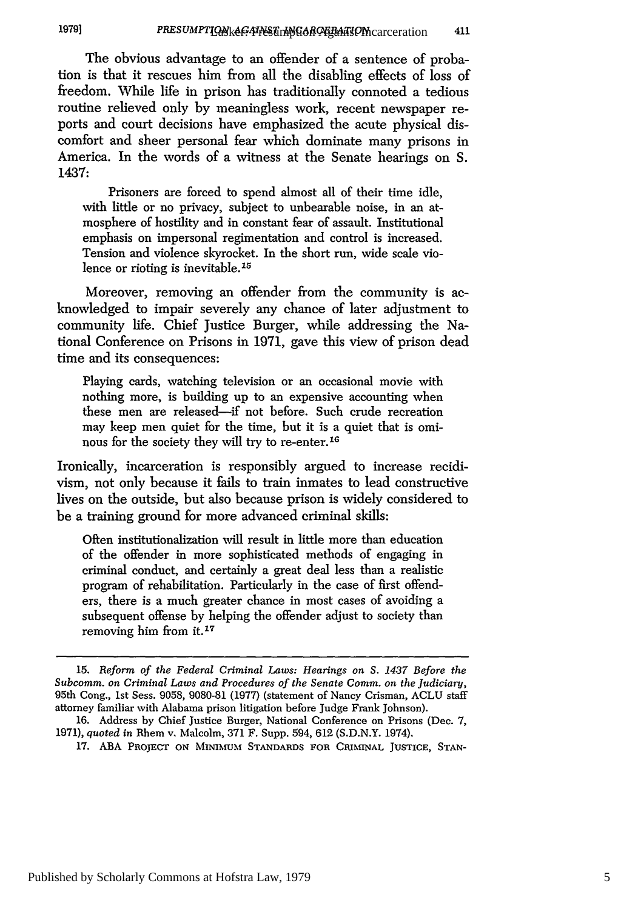#### **19791** PRESUMPTIONk<del>AC: PRESUMYGOROERATION</del> carceration 411

The obvious advantage to an offender of a sentence of probation is that it rescues him from all the disabling effects of loss of freedom. While life in prison has traditionally connoted a tedious routine relieved only by meaningless work, recent newspaper reports and court decisions have emphasized the acute physical discomfort and sheer personal fear which dominate many prisons in America. In the words of a witness at the Senate hearings on S. 1437:

Prisoners are forced to spend almost all of their time idle, with little or no privacy, subject to unbearable noise, in an atmosphere of hostility and in constant fear of assault. Institutional emphasis on impersonal regimentation and control is increased. Tension and violence skyrocket. In the short run, wide scale violence or rioting is inevitable.<sup>15</sup>

Moreover, removing an offender from the community is acknowledged to impair severely any chance of later adjustment to community life. Chief Justice Burger, while addressing the National Conference on Prisons in 1971, gave this view of prison dead time and its consequences:

Playing cards, watching television or an occasional movie with nothing more, is building up to an expensive accounting when these men are released-if not before. Such crude recreation may keep men quiet for the time, but it is a quiet that is ominous for the society they will try to re-enter. <sup>16</sup>

Ironically, incarceration is responsibly argued to increase recidivism, not only because it fails to train inmates to lead constructive lives on the outside, but also because prison is widely considered to be a training ground for more advanced criminal skills:

Often institutionalization will result in little more than education of the offender in more sophisticated methods of engaging in criminal conduct, and certainly a great deal less than a realistic program of rehabilitation. Particularly in the case of first offenders, there is a much greater chance in most cases of avoiding a subsequent offense by helping the offender adjust to society than removing him from it. **<sup>7</sup>**

<sup>15.</sup> *Reform of the Federal Criminal Laws: Hearings on S. 1437 Before the Subcomm. on Criminal Laws and Procedures of the Senate Comm. on the Judiciary,* 95th Cong., 1st Sess. 9058, 9080-81 (1977) (statement of Nancy Crisman, ACLU staff attorney familiar with Alabama prison litigation before Judge Frank Johnson).

<sup>16.</sup> Address by Chief Justice Burger, National Conference on Prisons (Dec. 7, 1971), *quoted in* Rhem v. Malcolm, 371 F. Supp. 594, 612 (S.D.N.Y. 1974).

<sup>17.</sup> ABA PROJECT **ON MINIMUM STANDARDS FOR CRIMINAL JUSTICE, STAN-**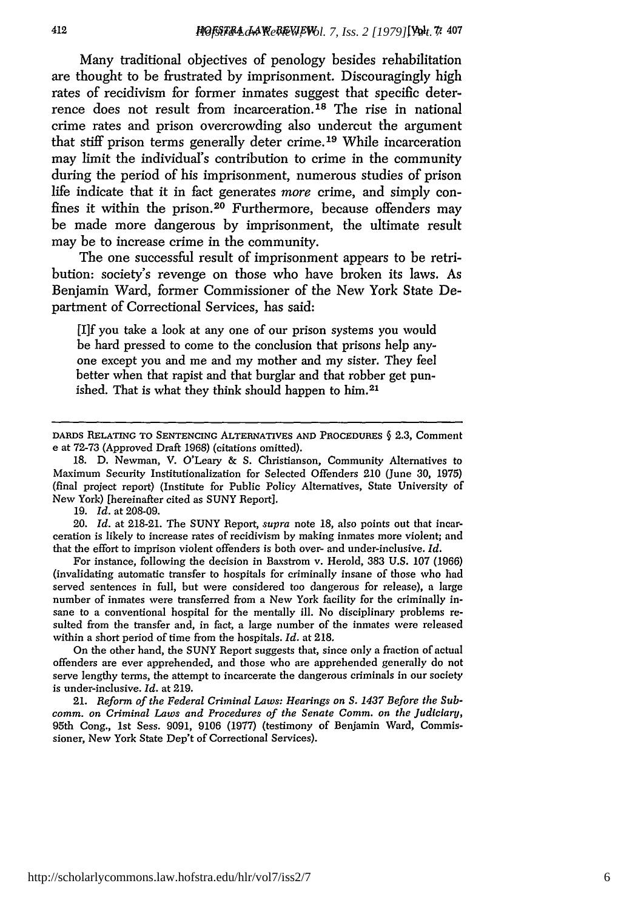Many traditional objectives of penology besides rehabilitation are thought to be frustrated **by** imprisonment. Discouragingly high rates of recidivism for former inmates suggest that specific deterrence does not result from incarceration.<sup>18</sup> The rise in national crime rates and prison overcrowding also undercut the argument that stiff prison terms generally deter crime. 19 While incarceration may limit the individual's contribution to crime in the community during the period of his imprisonment, numerous studies of prison life indicate that it in fact generates *more* crime, and simply confines it within the prison.<sup>20</sup> Furthermore, because offenders may be made more dangerous **by** imprisonment, the ultimate result may be to increase crime in the community.

The one successful result of imprisonment appears to be retribution: society's revenge on those who have broken its laws. As Benjamin Ward, former Commissioner of the **New** York State Department of Correctional Services, has said:

**[1]f** you take a look at any one of our prison systems you would be hard pressed to come to the conclusion that prisons help anyone except you and me and my mother and my sister. They feel better when that rapist and that burglar and that robber get punished. That is what they think should happen to him.<sup>21</sup>

**19.** *Id.* at **208-09.**

20. *Id.* at **218-21.** The **SUNY** Report, *supra* note 18, also points out that incarceration is likely to increase rates of recidivism by making inmates more violent; and that the effort to imprison violent offenders is both over- and under-inclusive. *Id.*

For instance, following the decision in Baxstrom v. Herold, 383 U.S. 107 (1966) (invalidating automatic transfer to hospitals for criminally insane of those who had served sentences in full, but were considered too dangerous for release), a large number of inmates were transferred from a New York facility for the criminally insane to a conventional hospital for the mentally ill. No disciplinary problems resulted from the transfer and, in fact, a large number of the inmates were released within a short period of time from the hospitals. *Id.* at 218.

On the other hand, the SUNY Report suggests that, since only a fraction of actual offenders are ever apprehended, and those who are apprehended generally do not serve lengthy terms, the attempt to incarcerate the dangerous criminals in our society is under-inclusive. *Id.* at 219.

21. *Reform of the Federal Criminal Laws: Hearings on S. 1437 Before the Subcomm. on Criminal Laws and Procedures of the Senate Comm. on the Judiciary,* 95th Cong., 1st Sess. 9091, 9106 (1977) (testimony of Benjamin Ward, Commissioner, New York State Dep't of Correctional Services).

DARDS RELATING TO **SENTENCING** ALTERNATIVES **AND** PROCEDURES § 2.3, Comment e at 72-73 (Approved Draft **1968)** (citations omitted).

**<sup>18.</sup> D.** Newman, V. O'Leary & **S.** Christianson, Community Alternatives to Maximum Security Institutionalization for Selected Offenders 210 (June **30, 1975)** (final project report) (Institute for Public Policy Alternatives, State University of New York) [hereinafter cited as **SUNY** Report].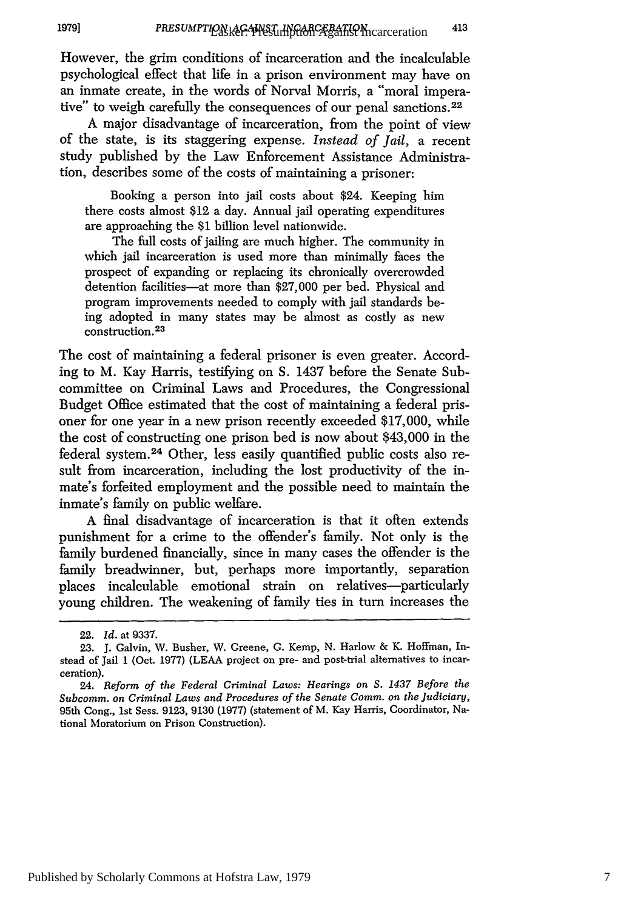However, the grim conditions of incarceration and the incalculable psychological effect that life in a prison environment may have on an inmate create, in the words of Norval Morris, a "moral imperative" to weigh carefully the consequences of our penal sanctions. <sup>22</sup>

A major disadvantage of incarceration, from the point of view of the state, is its staggering expense. *Instead of Jail,* a recent study published by the Law Enforcement Assistance Administration, describes some of the costs of maintaining a prisoner:

Booking a person into jail costs about \$24. Keeping him there costs almost \$12 a day. Annual jail operating expenditures are approaching the \$1 billion level nationwide.

The full costs of jailing are much higher. The community in which jail incarceration is used more than minimally faces the prospect of expanding or replacing its chronically overcrowded detention facilities-at more than \$27,000 per bed. Physical and program improvements needed to comply with jail standards being adopted in many states may be almost as costly as new construction. **23**

The cost of maintaining a federal prisoner is even greater. According to M. Kay Harris, testifying on S. 1437 before the Senate Subcommittee on Criminal Laws and Procedures, the Congressional Budget Office estimated that the cost of maintaining a federal prisoner for one year in a new prison recently exceeded \$17,000, while the cost of constructing one prison bed is now about \$43,000 in the federal system. 24 Other, less easily quantified public costs also result from incarceration, including the lost productivity of the inmate's forfeited employment and the possible need to maintain the inmate's family on public welfare.

A final disadvantage of incarceration is that it often extends punishment for a crime to the offender's family. Not only is the family burdened financially, since in many cases the offender is the family breadwinner, but, perhaps more importantly, separation places incalculable emotional strain on relatives-particularly young children. The weakening of family ties in turn increases the

<sup>22.</sup> *Id.* at 9337.

<sup>23.</sup> J. Galvin, W. Busher, W. Greene, G. Kemp, N. Harlow & K. Hoffman, Instead of Jail 1 (Oct. 1977) (LEAA project on pre- and post-trial alternatives to incarceration).

<sup>24.</sup> *Reform of the Federal Criminal Laws: Hearings on S. 1437 Before the Subcomm. on Criminal Laws and Procedures of the Senate Comm. on the Judiciary,* 95th Cong., 1st Sess. 9123, 9130 (1977) (statement of M. Kay Harris, Coordinator, National Moratorium on Prison Construction).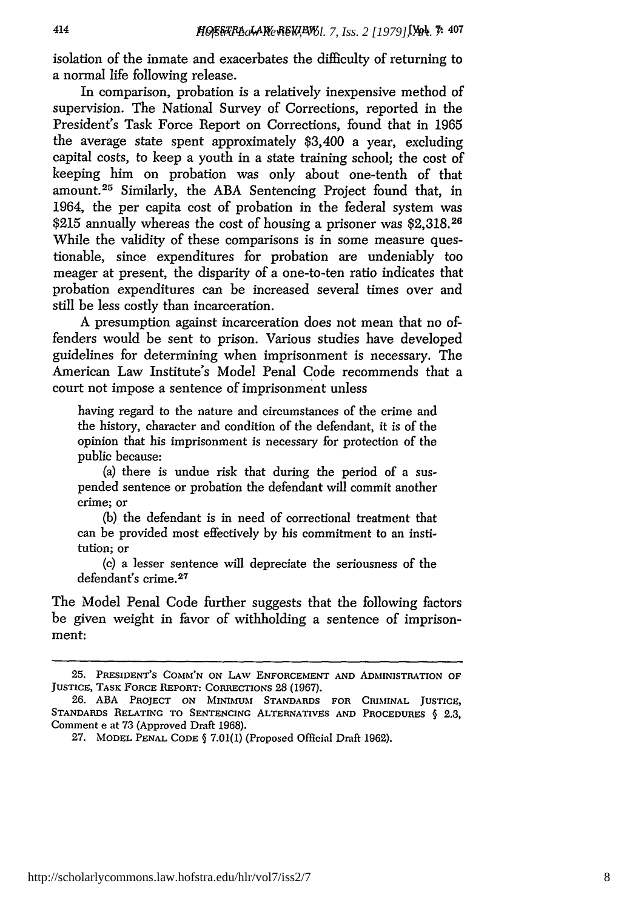isolation of the inmate and exacerbates the difficulty of returning to a normal life following release.

414

In comparison, probation is a relatively inexpensive method of supervision. The National Survey of Corrections, reported in the President's Task Force Report on Corrections, found that in 1965 the average state spent approximately \$3,400 a year, excluding capital costs, to keep a youth in a state training school; the cost of keeping him on probation was only about one-tenth of that amount. 25 Similarly, the ABA Sentencing Project found that, in 1964, the per capita cost of probation in the federal system was \$215 annually whereas the cost of housing a prisoner was \$2,318.26 While the validity of these comparisons is in some measure questionable, since expenditures for probation are undeniably too meager at present, the disparity of a one-to-ten ratio indicates that probation expenditures can be increased several times over and still be less costly than incarceration.

A presumption against incarceration does not mean that no offenders would be sent to prison. Various studies have developed guidelines for determining when imprisonment is necessary. The American Law Institute's Model Penal Code recommends that a court not impose a sentence of imprisonment unless

having regard to the nature and circumstances of the crime and the history, character and condition of the defendant, it is of the opinion that his imprisonment is necessary for protection of the public because:

(a) there is undue risk that during the period of a suspended sentence or probation the defendant will commit another crime; or

**(b)** the defendant is in need of correctional treatment that can be provided most effectively by his commitment to an institution; or

(c) a lesser sentence will depreciate the seriousness of the defendant's crime. <sup>27</sup>

The Model Penal Code further suggests that the following factors be given weight in favor of withholding a sentence of imprisonment:

<sup>25.</sup> **PRESIDENT'S COMMI'N ON LAW ENFORCEMENT AND ADMINISTRATION** OF **JUSTICE, TASK FORCE** REPORT: CORRECTIONS **28** (1967).

<sup>26.</sup> ABA PROJECT **ON MINIMUM STANDARDS FOR CRIMINAL JUSTICE, STANDARDS RELATING TO SENTENCING ALTERNATIVES AND PROCEDURES § 2.3,** Comment e at **73** (Approved Draft **1968).**

**<sup>27.</sup> MODEL PENAL CODE** § **7.01(1)** (Proposed Official Draft **1962).**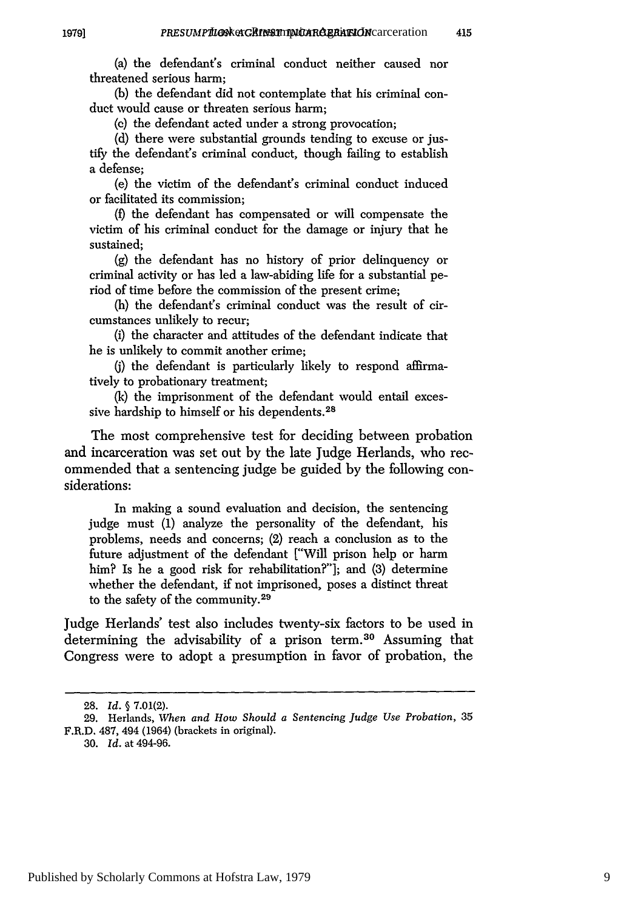415

(a) the defendant's criminal conduct neither caused nor threatened serious harm;

(b) the defendant did not contemplate that his criminal conduct would cause or threaten serious harm;

**(c)** the defendant acted under a strong provocation;

(d) there were substantial grounds tending to excuse or justify the defendant's criminal conduct, though failing to establish a defense;

(e) the victim of the defendant's criminal conduct induced or facilitated its commission;

*(f)* the defendant has compensated or will compensate the victim of his criminal conduct for the damage or injury that he sustained;

(g) the defendant has no history of prior delinquency or criminal activity or has led a law-abiding life for a substantial period of time before the commission of the present crime;

(h) the defendant's criminal conduct was the result of circumstances unlikely to recur;

(i) the character and attitudes of the defendant indicate that he is unlikely to commit another crime;

(j) the defendant is particularly likely to respond affirmatively to probationary treatment;

(k) the imprisonment of the defendant would entail excessive hardship to himself or his dependents.<sup>28</sup>

The most comprehensive test for deciding between probation and incarceration was set out by the late Judge Herlands, who recommended that a sentencing judge be guided by the following considerations:

In making a sound evaluation and decision, the sentencing judge must (1) analyze the personality of the defendant, his problems, needs and concerns; (2) reach a conclusion as to the future adjustment of the defendant ["Will prison help or harm him? Is he a good risk for rehabilitation?"]; and (3) determine whether the defendant, if not imprisoned, poses a distinct threat to the safety of the community.<sup>29</sup>

Judge Herlands' test also includes twenty-six factors to be used in determining the advisability of a prison term.<sup>30</sup> Assuming that Congress were to adopt a presumption in favor of probation, the

**19791**

**<sup>28.</sup>** *Id. §* **7.01(2).**

<sup>29.</sup> Herlands, *When and How Should a Sentencing Judge Use Probation,* 35 F.R.D. 487, 494 (1964) (brackets in original).

<sup>30.</sup> *Id.* at 494-96.